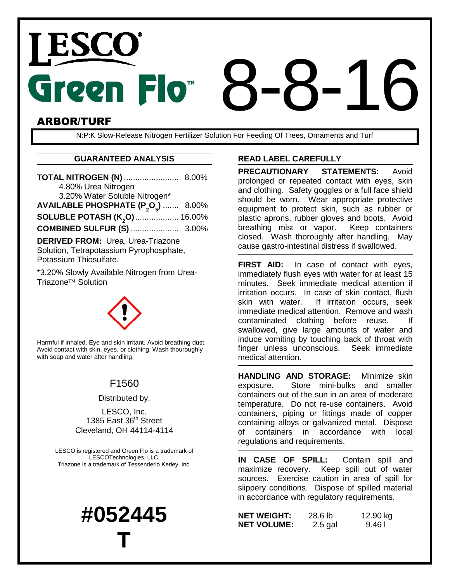# Green Flo<sup>®</sup> ARBOR/TURF 8-8-16

N:P:K Slow-Release Nitrogen Fertilizer Solution For Feeding Of Trees, Ornaments and Turf

### **GUARANTEED ANALYSIS**

| <b>TOTAL NITROGEN (N)  8.00%</b>                            |  |  |
|-------------------------------------------------------------|--|--|
| 4.80% Urea Nitrogen                                         |  |  |
| 3.20% Water Soluble Nitrogen*                               |  |  |
| AVAILABLE PHOSPHATE (P <sub>2</sub> O <sub>5</sub> )  8.00% |  |  |
| SOLUBLE POTASH (K <sub>2</sub> O)  16.00%                   |  |  |
|                                                             |  |  |
| <b>DERIVED FROM: Urea, Urea-Triazone</b>                    |  |  |
| Solution, Tetrapotassium Pyrophosphate,                     |  |  |
| Potassium Thiosulfate.                                      |  |  |

\*3.20% Slowly Available Nitrogen from Urea-Triazone<sup>™</sup> Solution



Harmful if inhaled. Eye and skin irritant. Avoid breathing dust. Avoid contact with skin, eyes, or clothing. Wash thouroughly with soap and water after handling.

# F1560

Distributed by:

LESCO, Inc. 1385 East 36<sup>th</sup> Street Cleveland, OH 44114-4114

LESCO is registered and Green Flo is a trademark of LESCOTechnologies, LLC. Triazone is a trademark of Tessenderlo Kerley, Inc.

# **#052445 T**

## **READ LABEL CAREFULLY**

**PRECAUTIONARY STATEMENTS:** Avoid prolonged or repeated contact with eyes, skin and clothing. Safety goggles or a full face shield should be worn. Wear appropriate protective equipment to protect skin, such as rubber or plastic aprons, rubber gloves and boots. Avoid breathing mist or vapor. Keep containers closed. Wash thoroughly after handling. May cause gastro-intestinal distress if swallowed.

**FIRST AID:** In case of contact with eyes, immediately flush eyes with water for at least 15 minutes. Seek immediate medical attention if irritation occurs. In case of skin contact, flush skin with water. If irritation occurs, seek immediate medical attention. Remove and wash contaminated clothing before reuse. If swallowed, give large amounts of water and induce vomiting by touching back of throat with finger unless unconscious. Seek immediate medical attention.

**HANDLING AND STORAGE:** Minimize skin exposure. Store mini-bulks and smaller containers out of the sun in an area of moderate temperature. Do not re-use containers. Avoid containers, piping or fittings made of copper containing alloys or galvanized metal. Dispose of containers in accordance with local regulations and requirements.

**IN CASE OF SPILL:** Contain spill and maximize recovery. Keep spill out of water sources. Exercise caution in area of spill for slippery conditions. Dispose of spilled material in accordance with regulatory requirements.

| NET WEIGHT:        | 28.6 <sub>lb</sub> | 12.90 kg |
|--------------------|--------------------|----------|
| <b>NET VOLUME:</b> | $2.5$ gal          | 9.46 I   |